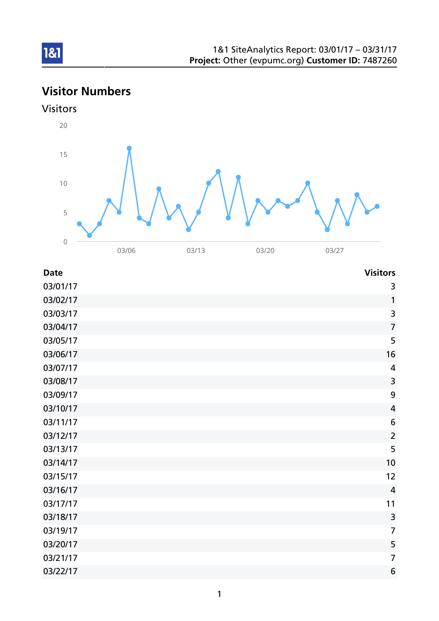# Visitor Numbers





| <b>Date</b> | <b>Visitors</b> |
|-------------|-----------------|
| 03/01/17    | 3               |
| 03/02/17    | 1               |
| 03/03/17    | 3               |
| 03/04/17    | $\overline{7}$  |
| 03/05/17    | 5               |
| 03/06/17    | 16              |
| 03/07/17    | 4               |
| 03/08/17    | 3               |
| 03/09/17    | 9               |
| 03/10/17    | $\overline{4}$  |
| 03/11/17    | 6               |
| 03/12/17    | $\overline{2}$  |
| 03/13/17    | 5               |
| 03/14/17    | 10              |
| 03/15/17    | 12              |
| 03/16/17    | $\overline{4}$  |
| 03/17/17    | 11              |
| 03/18/17    | $\mathsf{3}$    |
| 03/19/17    | $\overline{7}$  |
| 03/20/17    | 5               |
| 03/21/17    | $\overline{7}$  |
| 03/22/17    | 6               |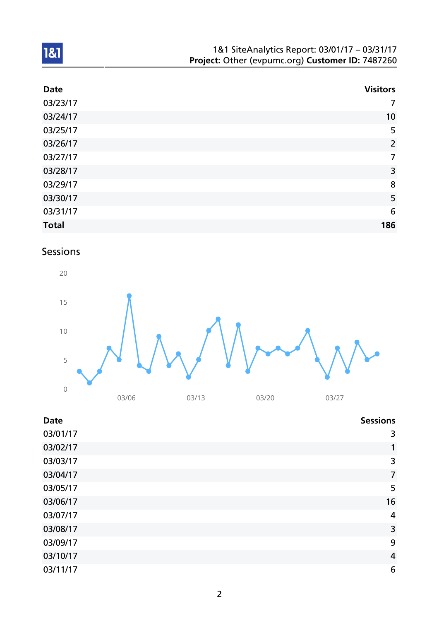| 1&1 SiteAnalytics Report: 03/01/17 - 03/31/17    |
|--------------------------------------------------|
| Project: Other (evpumc.org) Customer ID: 7487260 |

| <b>Date</b>  | <b>Visitors</b> |
|--------------|-----------------|
| 03/23/17     | $\overline{7}$  |
| 03/24/17     | 10              |
| 03/25/17     | 5               |
| 03/26/17     | $\overline{2}$  |
| 03/27/17     | $\overline{7}$  |
| 03/28/17     | 3               |
| 03/29/17     | 8               |
| 03/30/17     | 5               |
| 03/31/17     | $6\phantom{1}6$ |
| <b>Total</b> | 186             |

## Sessions



| <b>Date</b> | <b>Sessions</b> |
|-------------|-----------------|
| 03/01/17    | 3               |
| 03/02/17    | 1               |
| 03/03/17    | 3               |
| 03/04/17    | $\overline{7}$  |
| 03/05/17    | 5               |
| 03/06/17    | 16              |
| 03/07/17    | 4               |
| 03/08/17    | 3               |
| 03/09/17    | 9               |
| 03/10/17    | 4               |
| 03/11/17    | 6               |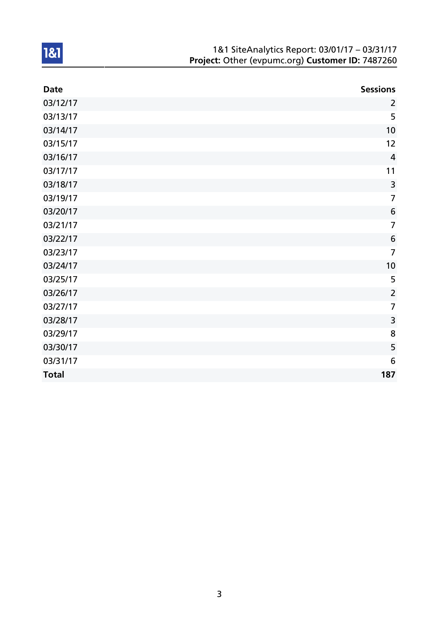| 1&1 SiteAnalytics Report: 03/01/17 - 03/31/17    |
|--------------------------------------------------|
| Project: Other (evpumc.org) Customer ID: 7487260 |

| <b>Date</b>  | <b>Sessions</b> |
|--------------|-----------------|
| 03/12/17     | $\overline{2}$  |
| 03/13/17     | 5               |
| 03/14/17     | 10              |
| 03/15/17     | 12              |
| 03/16/17     | $\overline{4}$  |
| 03/17/17     | 11              |
| 03/18/17     | $\overline{3}$  |
| 03/19/17     | $\overline{7}$  |
| 03/20/17     | 6               |
| 03/21/17     | $\overline{7}$  |
| 03/22/17     | $6\phantom{1}6$ |
| 03/23/17     | $\overline{7}$  |
| 03/24/17     | 10              |
| 03/25/17     | 5               |
| 03/26/17     | $\overline{2}$  |
| 03/27/17     | $\overline{7}$  |
| 03/28/17     | 3               |
| 03/29/17     | 8               |
| 03/30/17     | 5               |
| 03/31/17     | 6               |
| <b>Total</b> | 187             |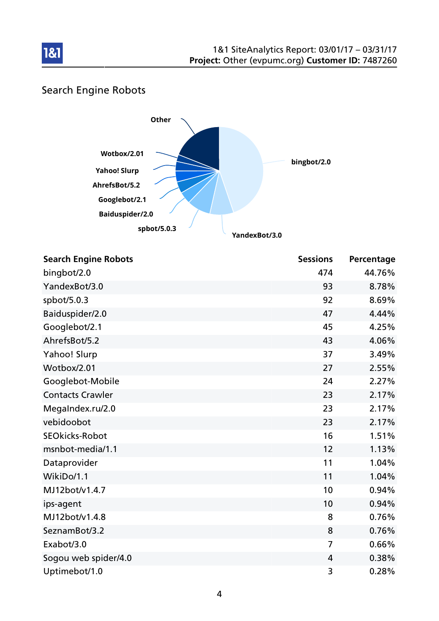

## Search Engine Robots

181



| <b>Search Engine Robots</b> | <b>Sessions</b> | Percentage |
|-----------------------------|-----------------|------------|
| bingbot/2.0                 | 474             | 44.76%     |
| YandexBot/3.0               | 93              | 8.78%      |
| spbot/5.0.3                 | 92              | 8.69%      |
| Baiduspider/2.0             | 47              | 4.44%      |
| Googlebot/2.1               | 45              | 4.25%      |
| AhrefsBot/5.2               | 43              | 4.06%      |
| Yahoo! Slurp                | 37              | 3.49%      |
| Wotbox/2.01                 | 27              | 2.55%      |
| Googlebot-Mobile            | 24              | 2.27%      |
| <b>Contacts Crawler</b>     | 23              | 2.17%      |
| MegaIndex.ru/2.0            | 23              | 2.17%      |
| vebidoobot                  | 23              | 2.17%      |
| <b>SEOkicks-Robot</b>       | 16              | 1.51%      |
| msnbot-media/1.1            | 12              | 1.13%      |
| Dataprovider                | 11              | 1.04%      |
| WikiDo/1.1                  | 11              | 1.04%      |
| MJ12bot/v1.4.7              | 10              | 0.94%      |
| ips-agent                   | 10              | 0.94%      |
| MJ12bot/v1.4.8              | 8               | 0.76%      |
| SeznamBot/3.2               | 8               | 0.76%      |
| Exabot/3.0                  | 7               | 0.66%      |
| Sogou web spider/4.0        | 4               | 0.38%      |
| Uptimebot/1.0               | 3               | 0.28%      |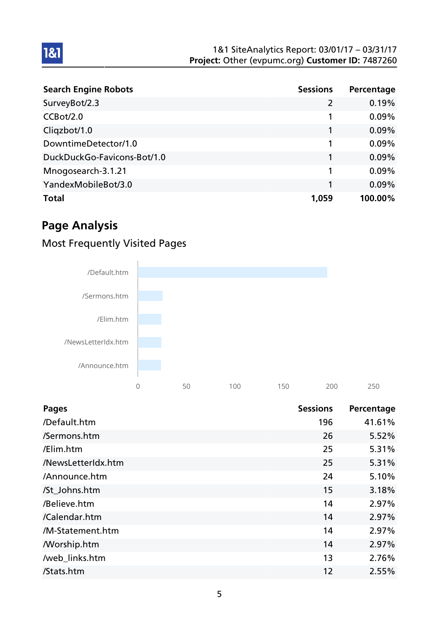| <b>Search Engine Robots</b> | <b>Sessions</b> | Percentage |
|-----------------------------|-----------------|------------|
| SurveyBot/2.3               | $\overline{2}$  | 0.19%      |
| CCBot/2.0                   |                 | 0.09%      |
| Cliqzbot/1.0                |                 | 0.09%      |
| DowntimeDetector/1.0        |                 | 0.09%      |
| DuckDuckGo-Favicons-Bot/1.0 |                 | 0.09%      |
| Mnogosearch-3.1.21          |                 | 0.09%      |
| YandexMobileBot/3.0         |                 | 0.09%      |
| <b>Total</b>                | 1,059           | 100.00%    |

## Page Analysis

1&1

## Most Frequently Visited Pages



| <b>Pages</b>       | <b>Sessions</b> | Percentage |
|--------------------|-----------------|------------|
| /Default.htm       | 196             | 41.61%     |
| /Sermons.htm       | 26              | 5.52%      |
| /Elim.htm          | 25              | 5.31%      |
| /NewsLetterIdx.htm | 25              | 5.31%      |
| /Announce.htm      | 24              | 5.10%      |
| /St Johns.htm      | 15              | 3.18%      |
| /Believe.htm       | 14              | 2.97%      |
| /Calendar.htm      | 14              | 2.97%      |
| /M-Statement.htm   | 14              | 2.97%      |
| <b>Morship.htm</b> | 14              | 2.97%      |
| /web_links.htm     | 13              | 2.76%      |
| /Stats.htm         | 12              | 2.55%      |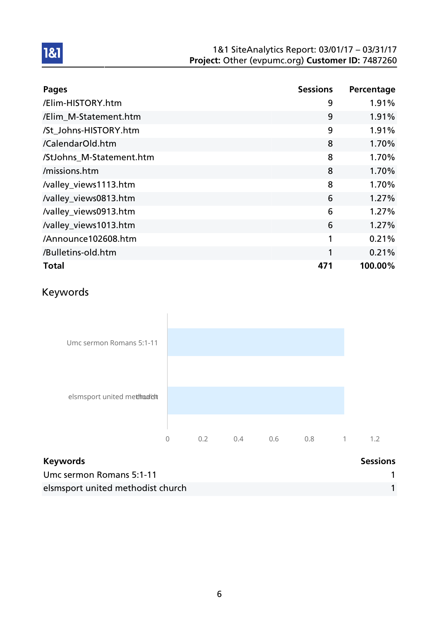| <b>Pages</b>             | <b>Sessions</b> | Percentage |
|--------------------------|-----------------|------------|
| /Elim-HISTORY.htm        | 9               | 1.91%      |
| /Elim_M-Statement.htm    | 9               | 1.91%      |
| /St_Johns-HISTORY.htm    | 9               | 1.91%      |
| /CalendarOld.htm         | 8               | 1.70%      |
| /StJohns_M-Statement.htm | 8               | 1.70%      |
| /missions.htm            | 8               | 1.70%      |
| /valley_views1113.htm    | 8               | 1.70%      |
| /valley_views0813.htm    | 6               | 1.27%      |
| /valley_views0913.htm    | 6               | 1.27%      |
| /valley_views1013.htm    | 6               | 1.27%      |
| /Announce102608.htm      | 1               | 0.21%      |
| /Bulletins-old.htm       | 1               | 0.21%      |
| <b>Total</b>             | 471             | 100.00%    |

## Keywords



| <b>Keywords</b>                   | <b>Sessions</b> |
|-----------------------------------|-----------------|
| Umc sermon Romans 5:1-11          |                 |
| elsmsport united methodist church |                 |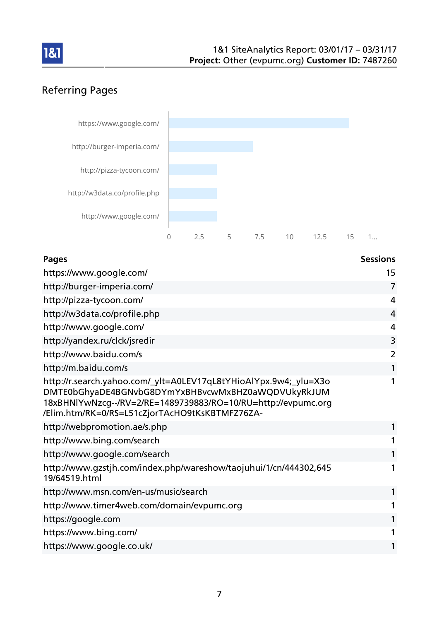

## Referring Pages



| <b>Pages</b>                                                                                                                                                                                                                              | <b>Sessions</b> |
|-------------------------------------------------------------------------------------------------------------------------------------------------------------------------------------------------------------------------------------------|-----------------|
| https://www.google.com/                                                                                                                                                                                                                   | 15              |
| http://burger-imperia.com/                                                                                                                                                                                                                | 7               |
| http://pizza-tycoon.com/                                                                                                                                                                                                                  | 4               |
| http://w3data.co/profile.php                                                                                                                                                                                                              | 4               |
| http://www.google.com/                                                                                                                                                                                                                    | 4               |
| http://yandex.ru/clck/jsredir                                                                                                                                                                                                             | 3               |
| http://www.baidu.com/s                                                                                                                                                                                                                    | $\overline{2}$  |
| http://m.baidu.com/s                                                                                                                                                                                                                      |                 |
| http://r.search.yahoo.com/_ylt=A0LEV17qL8tYHioAlYpx.9w4;_ylu=X3o<br>DMTE0bGhyaDE4BGNvbG8DYmYxBHBvcwMxBHZ0aWQDVUkyRkJUM<br>18xBHNlYwNzcg--/RV=2/RE=1489739883/RO=10/RU=http://evpumc.org<br>/Elim.htm/RK=0/RS=L51cZjorTAcHO9tKsKBTMFZ76ZA- |                 |
| http://webpromotion.ae/s.php                                                                                                                                                                                                              |                 |
| http://www.bing.com/search                                                                                                                                                                                                                |                 |
| http://www.google.com/search                                                                                                                                                                                                              |                 |
| http://www.gzstjh.com/index.php/wareshow/taojuhui/1/cn/444302,645<br>19/64519.html                                                                                                                                                        | 1               |
| http://www.msn.com/en-us/music/search                                                                                                                                                                                                     |                 |
| http://www.timer4web.com/domain/evpumc.org                                                                                                                                                                                                |                 |
| https://google.com                                                                                                                                                                                                                        |                 |
| https://www.bing.com/                                                                                                                                                                                                                     |                 |
| https://www.google.co.uk/                                                                                                                                                                                                                 |                 |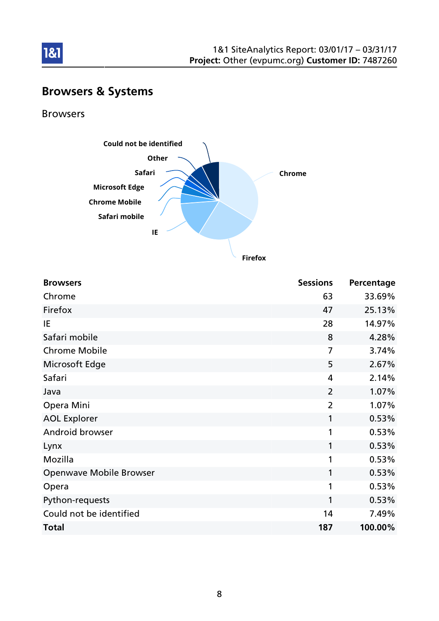

## Browsers & Systems

Browsers

1&1



**Firefox**

| <b>Browsers</b>                | <b>Sessions</b> | Percentage |
|--------------------------------|-----------------|------------|
| Chrome                         | 63              | 33.69%     |
| Firefox                        | 47              | 25.13%     |
| IE                             | 28              | 14.97%     |
| Safari mobile                  | 8               | 4.28%      |
| <b>Chrome Mobile</b>           | 7               | 3.74%      |
| Microsoft Edge                 | 5               | 2.67%      |
| Safari                         | $\overline{4}$  | 2.14%      |
| Java                           | $\overline{2}$  | 1.07%      |
| Opera Mini                     | $\overline{2}$  | 1.07%      |
| <b>AOL Explorer</b>            | 1               | 0.53%      |
| Android browser                | 1               | 0.53%      |
| Lynx                           | 1               | 0.53%      |
| Mozilla                        | 1               | 0.53%      |
| <b>Openwave Mobile Browser</b> | 1               | 0.53%      |
| Opera                          | 1               | 0.53%      |
| Python-requests                | 1               | 0.53%      |
| Could not be identified        | 14              | 7.49%      |
| <b>Total</b>                   | 187             | 100.00%    |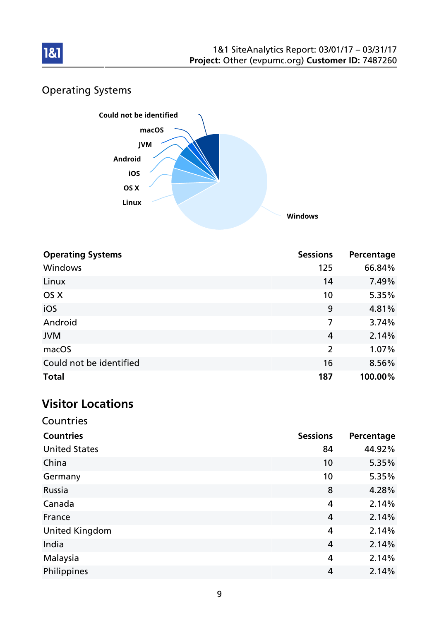

## Operating Systems



| <b>Operating Systems</b> | <b>Sessions</b> | Percentage |
|--------------------------|-----------------|------------|
| Windows                  | 125             | 66.84%     |
| Linux                    | 14              | 7.49%      |
| OS X                     | 10              | 5.35%      |
| iOS                      | 9               | 4.81%      |
| Android                  | 7               | 3.74%      |
| <b>JVM</b>               | $\overline{4}$  | 2.14%      |
| macOS                    | $\overline{2}$  | 1.07%      |
| Could not be identified  | 16              | 8.56%      |
| <b>Total</b>             | 187             | 100.00%    |

## Visitor Locations

| Countries             |                 |            |
|-----------------------|-----------------|------------|
| <b>Countries</b>      | <b>Sessions</b> | Percentage |
| <b>United States</b>  | 84              | 44.92%     |
| China                 | 10              | 5.35%      |
| Germany               | 10              | 5.35%      |
| Russia                | 8               | 4.28%      |
| Canada                | $\overline{4}$  | 2.14%      |
| France                | $\overline{4}$  | 2.14%      |
| <b>United Kingdom</b> | 4               | 2.14%      |
| India                 | $\overline{4}$  | 2.14%      |
| Malaysia              | 4               | 2.14%      |
| Philippines           | 4               | 2.14%      |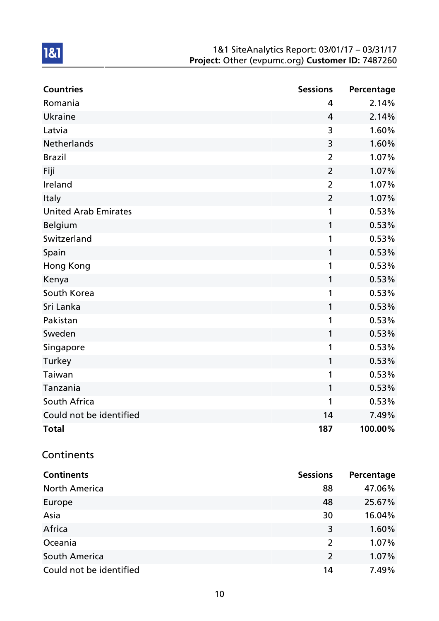| <b>Countries</b>            | <b>Sessions</b> | Percentage |
|-----------------------------|-----------------|------------|
| Romania                     | 4               | 2.14%      |
| <b>Ukraine</b>              | $\overline{4}$  | 2.14%      |
| Latvia                      | 3               | 1.60%      |
| Netherlands                 | 3               | 1.60%      |
| <b>Brazil</b>               | $\overline{2}$  | 1.07%      |
| Fiji                        | $\overline{2}$  | 1.07%      |
| Ireland                     | $\overline{2}$  | 1.07%      |
| Italy                       | $\overline{2}$  | 1.07%      |
| <b>United Arab Emirates</b> | 1               | 0.53%      |
| <b>Belgium</b>              | 1               | 0.53%      |
| Switzerland                 | 1               | 0.53%      |
| Spain                       | 1               | 0.53%      |
| Hong Kong                   | 1               | 0.53%      |
| Kenya                       | 1               | 0.53%      |
| South Korea                 | 1               | 0.53%      |
| Sri Lanka                   | 1               | 0.53%      |
| Pakistan                    | 1               | 0.53%      |
| Sweden                      | 1               | 0.53%      |
| Singapore                   | 1               | 0.53%      |
| Turkey                      | 1               | 0.53%      |
| Taiwan                      | 1               | 0.53%      |
| Tanzania                    | 1               | 0.53%      |
| South Africa                | 1               | 0.53%      |
| Could not be identified     | 14              | 7.49%      |
| <b>Total</b>                | 187             | 100.00%    |
| Continents                  |                 |            |

| <b>Continents</b>       | <b>Sessions</b> | Percentage |
|-------------------------|-----------------|------------|
| <b>North America</b>    | 88              | 47.06%     |
| Europe                  | 48              | 25.67%     |
| Asia                    | 30              | 16.04%     |
| Africa                  | 3               | 1.60%      |
| Oceania                 | 2               | 1.07%      |
| South America           | 2               | 1.07%      |
| Could not be identified | 14              | 7.49%      |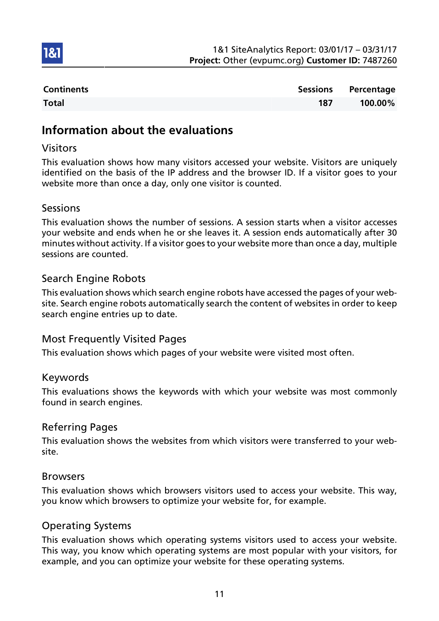

| <b>Continents</b> |     | Sessions Percentage |
|-------------------|-----|---------------------|
| <b>Total</b>      | 187 | 100.00%             |

### Information about the evaluations

### Visitors

1&1

This evaluation shows how many visitors accessed your website. Visitors are uniquely identified on the basis of the IP address and the browser ID. If a visitor goes to your website more than once a day, only one visitor is counted.

#### Sessions

This evaluation shows the number of sessions. A session starts when a visitor accesses your website and ends when he or she leaves it. A session ends automatically after 30 minutes without activity. If a visitor goes to your website more than once a day, multiple sessions are counted.

### Search Engine Robots

This evaluation shows which search engine robots have accessed the pages of your website. Search engine robots automatically search the content of websites in order to keep search engine entries up to date.

### Most Frequently Visited Pages

This evaluation shows which pages of your website were visited most often.

#### Keywords

This evaluations shows the keywords with which your website was most commonly found in search engines.

### Referring Pages

This evaluation shows the websites from which visitors were transferred to your website.

#### Browsers

This evaluation shows which browsers visitors used to access your website. This way, you know which browsers to optimize your website for, for example.

#### Operating Systems

This evaluation shows which operating systems visitors used to access your website. This way, you know which operating systems are most popular with your visitors, for example, and you can optimize your website for these operating systems.